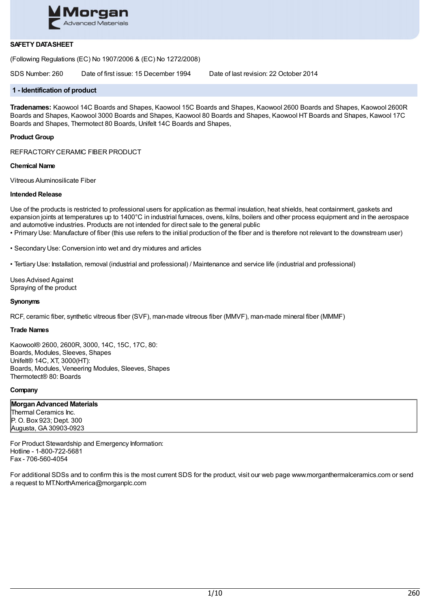

# **SAFETY DATASHEET**

(Following Regulations (EC) No 1907/2006 & (EC) No 1272/2008)

SDS Number: 260 Date of first issue: 15 December 1994 Date of last revision: 22 October 2014

### **1 - Identification of product**

**Tradenames:** Kaowool 14C Boards and Shapes, Kaowool 15C Boards and Shapes, Kaowool 2600 Boards and Shapes, Kaowool 2600R Boards and Shapes, Kaowool 3000 Boards and Shapes, Kaowool 80 Boards and Shapes, Kaowool HT Boards and Shapes, Kawool 17C Boards and Shapes, Thermotect 80 Boards, Unifelt 14C Boards and Shapes,

#### **Product Group**

REFRACTORYCERAMIC FIBER PRODUCT

#### **Chemical Name**

Vitreous Aluminosilicate Fiber

#### **Intended Release**

Use of the products is restricted to professional users for application as thermal insulation, heat shields, heat containment, gaskets and expansion joints at temperatures up to 1400°C in industrial furnaces, ovens, kilns, boilers and other process equipment and in the aerospace and automotive industries. Products are not intended for direct sale to the general public

• Primary Use: Manufacture of fiber (this use refers to the initial production of the fiber and is therefore not relevant to the downstream user)

• Secondary Use: Conversion into wet and dry mixtures and articles

• Tertiary Use: Installation, removal (industrial and professional) / Maintenance and service life (industrial and professional)

Uses Advised Against Spraying of the product

#### **Synonyms**

RCF, ceramic fiber, synthetic vitreous fiber (SVF), man-made vitreous fiber (MMVF), man-made mineral fiber (MMMF)

#### **Trade Names**

Kaowool® 2600, 2600R, 3000, 14C, 15C, 17C, 80: Boards, Modules, Sleeves, Shapes Unifelt® 14C, XT, 3000(HT): Boards, Modules, Veneering Modules, Sleeves, Shapes Thermotect® 80: Boards

### **Company**

**MorganAdvanced Materials** Thermal Ceramics Inc. P. O. Box 923; Dept. 300 Augusta, GA 30903-0923

For Product Stewardship and Emergency Information: Hotline - 1-800-722-5681 Fax - 706-560-4054

For additional SDSs and to confirm this is the most current SDS for the product, visit our web page www.morganthermalceramics.com or send a request to MT.NorthAmerica@morganplc.com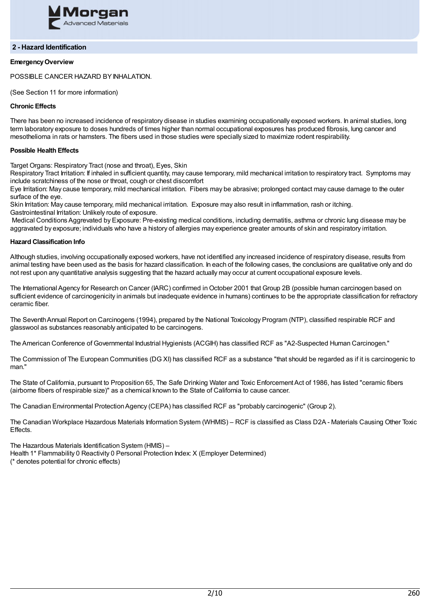

### **2 - Hazard Identification**

# **EmergencyOverview**

POSSIBLE CANCER HAZARD BY INHALATION.

(See Section 11 for more information)

### **Chronic Effects**

There has been no increased incidence of respiratory disease in studies examining occupationally exposed workers. In animal studies, long term laboratory exposure to doses hundreds of times higher than normal occupational exposures has produced fibrosis, lung cancer and mesothelioma in rats or hamsters. The fibers used in those studies were specially sized to maximize rodent respirability.

### **Possible Health Effects**

Target Organs: Respiratory Tract (nose and throat), Eyes, Skin

Respiratory Tract Irritation: If inhaled in sufficient quantity, may cause temporary, mild mechanical irritation to respiratory tract. Symptoms may include scratchiness of the nose or throat, cough or chest discomfort

Eye Irritation: May cause temporary, mild mechanical irritation. Fibers may be abrasive; prolonged contact may cause damage to the outer surface of the eye.

Skin Irritation: May cause temporary, mild mechanical irritation. Exposure may also result in inflammation, rash or itching. Gastrointestinal Irritation: Unlikely route of exposure.

Medical Conditions Aggrevated by Exposure: Pre-existing medical conditions, including dermatitis, asthma or chronic lung disease may be aggravated by exposure; individuals who have a history of allergies may experience greater amounts of skin and respiratory irritation.

#### **Hazard Classification Info**

Although studies, involving occupationally exposed workers, have not identified any increased incidence of respiratory disease, results from animal testing have been used as the basis for hazard classification. In each of the following cases, the conclusions are qualitative only and do not rest upon any quantitative analysis suggesting that the hazard actually may occur at current occupational exposure levels.

The International Agency for Research on Cancer (IARC) confirmed in October 2001 that Group 2B (possible human carcinogen based on sufficient evidence of carcinogenicity in animals but inadequate evidence in humans) continues to be the appropriate classification for refractory ceramic fiber.

The SeventhAnnual Report on Carcinogens (1994), prepared by the National Toxicology Program (NTP), classified respirable RCF and glasswool as substances reasonably anticipated to be carcinogens.

The American Conference of Governmental Industrial Hygienists (ACGIH) has classified RCF as "A2-Suspected Human Carcinogen."

The Commission of The European Communities (DG XI) has classified RCF as a substance "that should be regarded as if it is carcinogenic to man"

The State of California, pursuant to Proposition 65, The Safe Drinking Water and Toxic Enforcement Act of 1986, has listed "ceramic fibers (airborne fibers of respirable size)" as a chemical known to the State of California to cause cancer.

The Canadian Environmental ProtectionAgency (CEPA) has classified RCF as "probably carcinogenic" (Group 2).

The Canadian Workplace Hazardous Materials Information System (WHMIS) – RCF is classified as Class D2A - Materials Causing Other Toxic Effects.

The Hazardous Materials Identification System (HMIS) –

Health 1\* Flammability 0 Reactivity 0 Personal Protection Index: X (Employer Determined)

(\* denotes potential for chronic effects)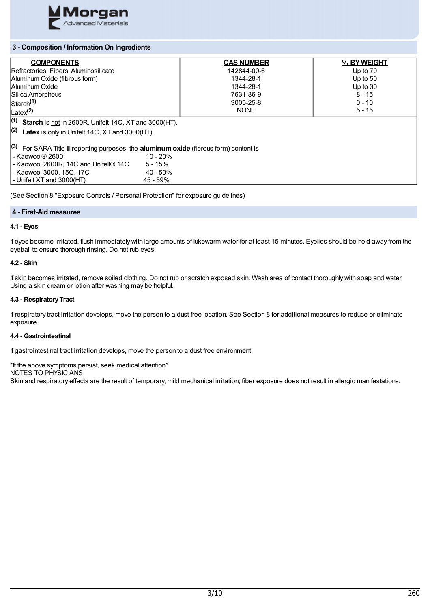

# **3 - Composition / Information On Ingredients**

| <b>COMPONENTS</b>                                                                                                 |             | <b>CAS NUMBER</b> | % BY WEIGHT |  |
|-------------------------------------------------------------------------------------------------------------------|-------------|-------------------|-------------|--|
| Refractories, Fibers, Aluminosilicate                                                                             |             | 142844-00-6       | Up to 70    |  |
| Aluminum Oxide (fibrous form)                                                                                     |             | 1344-28-1         | Up to $50$  |  |
| Aluminum Oxide                                                                                                    |             | 1344-28-1         | Up to $30$  |  |
| Silica Amorphous                                                                                                  |             | 7631-86-9         | $8 - 15$    |  |
| $\mathsf{Start}^{(1)}$                                                                                            |             | 9005-25-8         | $0 - 10$    |  |
| Latex <sup>(2)</sup>                                                                                              |             | <b>NONE</b>       | $5 - 15$    |  |
| $(1)$ Starch is not in 2600R, Unifelt 14C, XT and 3000(HT).                                                       |             |                   |             |  |
| $(2)$ Latex is only in Unifelt 14C, XT and 3000(HT).                                                              |             |                   |             |  |
| $\vert$ <sup>(3)</sup> For SARA Title III reporting purposes, the <b>aluminum oxide</b> (fibrous form) content is |             |                   |             |  |
| l - Kaowool® 2600                                                                                                 | $10 - 20%$  |                   |             |  |
| - Kaowool 2600R, 14C and Unifelt® 14C                                                                             | $5 - 15%$   |                   |             |  |
| l - Kaowool 3000. 15C. 17C                                                                                        | $40 - 50\%$ |                   |             |  |
| - Unifelt XT and 3000(HT)                                                                                         | $45 - 59%$  |                   |             |  |

(See Section 8 "Exposure Controls / Personal Protection" for exposure guidelines)

## **4 - First-Aid measures**

# **4.1 - Eyes**

If eyes become irritated, flush immediately with large amounts of lukewarm water for at least 15 minutes. Eyelids should be held away from the eyeball to ensure thorough rinsing. Do not rub eyes.

### **4.2 - Skin**

If skin becomes irritated, remove soiled clothing. Do not rub or scratch exposed skin. Wash area of contact thoroughly with soap and water. Using a skin cream or lotion after washing may be helpful.

# **4.3 - RespiratoryTract**

If respiratory tract irritation develops, move the person to a dust free location. See Section 8 for additional measures to reduce or eliminate exposure.

# **4.4 - Gastrointestinal**

If gastrointestinal tract irritation develops, move the person to a dust free environment.

\*If the above symptoms persist, seek medical attention\* NOTES TO PHYSICIANS: Skin and respiratory effects are the result of temporary, mild mechanical irritation; fiber exposure does not result in allergic manifestations.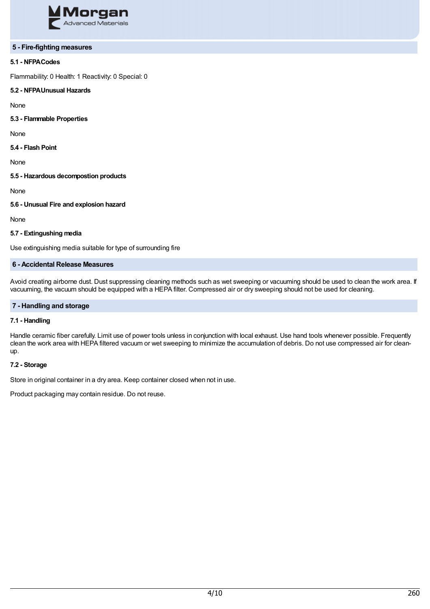

#### **5 - Fire-fighting measures**

# **5.1 - NFPACodes**

Flammability: 0 Health: 1 Reactivity: 0 Special: 0

#### **5.2 - NFPAUnusual Hazards**

None

**5.3 - Flammable Properties**

None

**5.4 - Flash Point**

None

**5.5 - Hazardous decompostion products**

None

**5.6 - Unusual Fire and explosion hazard**

None

## **5.7 - Extingushing media**

Use extinguishing media suitable for type of surrounding fire

# **6 - Accidental Release Measures**

Avoid creating airborne dust. Dust suppressing cleaning methods such as wet sweeping or vacuuming should be used to clean the work area. If vacuuming, the vacuum should be equipped with a HEPA filter. Compressed air or dry sweeping should not be used for cleaning.

## **7 - Handling and storage**

# **7.1 - Handling**

Handle ceramic fiber carefully. Limit use of power tools unless in conjunction with local exhaust. Use hand tools whenever possible. Frequently clean the work area with HEPA filtered vacuum or wet sweeping to minimize the accumulation of debris. Do not use compressed air for cleanup.

#### **7.2 - Storage**

Store in original container in a dry area. Keep container closed when not in use.

Product packaging may contain residue. Do not reuse.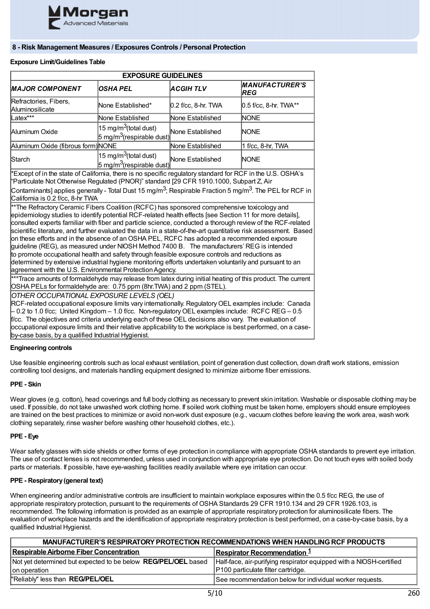

# **8 - Risk Management Measures / Exposures Controls / Personal Protection**

# **Exposure Limit/Guidelines Table**

| <b>EXPOSURE GUIDELINES</b>                                                                                                                                                                                                                                                                                                                                                                                                                                                                                                                                                                                                                                                                                                                                                                                                                                                                                                                                                                                                                                                                                                                                                                                                                                                     |                                                                            |                     |                                     |  |
|--------------------------------------------------------------------------------------------------------------------------------------------------------------------------------------------------------------------------------------------------------------------------------------------------------------------------------------------------------------------------------------------------------------------------------------------------------------------------------------------------------------------------------------------------------------------------------------------------------------------------------------------------------------------------------------------------------------------------------------------------------------------------------------------------------------------------------------------------------------------------------------------------------------------------------------------------------------------------------------------------------------------------------------------------------------------------------------------------------------------------------------------------------------------------------------------------------------------------------------------------------------------------------|----------------------------------------------------------------------------|---------------------|-------------------------------------|--|
| <b>MAJOR COMPONENT</b>                                                                                                                                                                                                                                                                                                                                                                                                                                                                                                                                                                                                                                                                                                                                                                                                                                                                                                                                                                                                                                                                                                                                                                                                                                                         | <b>OSHA PEL</b>                                                            | <b>ACGIH TLV</b>    | <b>MANUFACTURER'S</b><br><b>REG</b> |  |
| Refractories, Fibers,<br>Aluminosilicate                                                                                                                                                                                                                                                                                                                                                                                                                                                                                                                                                                                                                                                                                                                                                                                                                                                                                                                                                                                                                                                                                                                                                                                                                                       | None Established*                                                          | 0.2 f/cc, 8-hr. TWA | 0.5 f/cc, 8-hr. TWA**               |  |
| Latex***                                                                                                                                                                                                                                                                                                                                                                                                                                                                                                                                                                                                                                                                                                                                                                                                                                                                                                                                                                                                                                                                                                                                                                                                                                                                       | None Established                                                           | None Established    | <b>NONE</b>                         |  |
| Aluminum Oxide                                                                                                                                                                                                                                                                                                                                                                                                                                                                                                                                                                                                                                                                                                                                                                                                                                                                                                                                                                                                                                                                                                                                                                                                                                                                 | 15 mg/m <sup>3</sup> (total dust)<br>5 mg/m <sup>3</sup> (respirable dust) | None Established    | <b>NONE</b>                         |  |
| Aluminum Oxide (fibrous form) NONE                                                                                                                                                                                                                                                                                                                                                                                                                                                                                                                                                                                                                                                                                                                                                                                                                                                                                                                                                                                                                                                                                                                                                                                                                                             |                                                                            | None Established    | 1 f/cc, 8-hr, TWA                   |  |
| Starch                                                                                                                                                                                                                                                                                                                                                                                                                                                                                                                                                                                                                                                                                                                                                                                                                                                                                                                                                                                                                                                                                                                                                                                                                                                                         | 15 mg/m <sup>3</sup> (total dust)<br>5 mg/m <sup>3</sup> (respirable dust) | None Established    | <b>INONE</b>                        |  |
| Contaminants] applies generally - Total Dust 15 mg/m <sup>3</sup> ; Respirable Fraction 5 mg/m <sup>3</sup> . The PEL for RCF in<br>California is 0.2 f/cc, 8-hr TWA<br>**The Refractory Ceramic Fibers Coalition (RCFC) has sponsored comprehensive toxicology and<br>epidemiology studies to identify potential RCF-related health effects [see Section 11 for more details],<br>consulted experts familiar with fiber and particle science, conducted a thorough review of the RCF-related<br>scientific literature, and further evaluated the data in a state-of-the-art quantitative risk assessment. Based<br>on these efforts and in the absence of an OSHA PEL, RCFC has adopted a recommended exposure<br>guideline (REG), as measured under NIOSH Method 7400 B. The manufacturers' REG is intended<br>to promote occupational health and safety through feasible exposure controls and reductions as<br>determined by extensive industrial hygiene monitoring efforts undertaken voluntarily and pursuant to an<br>agreement with the U.S. Environmental Protection Agency.<br>***Trace amounts of formaldehyde may release from latex during initial heating of this product. The current<br>OSHA PELs for formaldehyde are: 0.75 ppm (8hr. TWA) and 2 ppm (STEL). |                                                                            |                     |                                     |  |
| OTHER OCCUPATIONAL EXPOSURE LEVELS (OEL)<br>RCF-related occupational exposure limits vary internationally. Regulatory OEL examples include: Canada<br>0.2 to 1.0 f/cc; United Kingdom - 1.0 f/cc. Non-regulatory OEL examples include: RCFC REG - 0.5<br>f/cc. The objectives and criteria underlying each of these OEL decisions also vary. The evaluation of<br>occupational exposure limits and their relative applicability to the workplace is best performed, on a case-<br>by-case basis, by a qualified Industrial Hygienist.                                                                                                                                                                                                                                                                                                                                                                                                                                                                                                                                                                                                                                                                                                                                          |                                                                            |                     |                                     |  |

### **Engineering controls**

Use feasible engineering controls such as local exhaust ventilation, point of generation dust collection, down draft work stations, emission controlling tool designs, and materials handling equipment designed to minimize airborne fiber emissions.

### **PPE - Skin**

Wear gloves (e.g. cotton), head coverings and full body clothing as necessary to prevent skin irritation. Washable or disposable clothing may be used. If possible, do not take unwashed work clothing home. If soiled work clothing must be taken home, employers should ensure employees are trained on the best practices to minimize or avoid non-work dust exposure (e.g., vacuum clothes before leaving the work area, wash work clothing separately, rinse washer before washing other household clothes, etc.).

#### **PPE - Eye**

Wear safety glasses with side shields or other forms of eye protection in compliance with appropriate OSHA standards to prevent eye irritation. The use of contact lenses is not recommended, unless used in conjunction with appropriate eye protection. Do not touch eyes with soiled body parts or materials. If possible, have eye-washing facilities readily available where eye irritation can occur.

#### **PPE - Respiratory(general text)**

When engineering and/or administrative controls are insufficient to maintain workplace exposures within the 0.5 f/cc REG, the use of appropriate respiratory protection, pursuant to the requirements of OSHA Standards 29 CFR 1910.134 and 29 CFR 1926.103, is recommended. The following information is provided as an example of appropriate respiratory protection for aluminosilicate fibers. The evaluation of workplace hazards and the identification of appropriate respiratory protection is best performed, on a case-by-case basis, by a qualified Industrial Hygienist.

| MANUFACTURER'S RESPIRATORY PROTECTION RECOMMENDATIONS WHEN HANDLING RCF PRODUCTS |                                                                     |  |
|----------------------------------------------------------------------------------|---------------------------------------------------------------------|--|
| Respirable Airborne Fiber Concentration                                          | <b>Respirator Recommendation</b> $1$                                |  |
| Not yet determined but expected to be below <b>REG/PEL/OEL</b> based             | Half-face, air-purifying respirator equipped with a NIOSH-certified |  |
| Ion operation                                                                    | P100 particulate filter cartridge.                                  |  |
| "Reliably" less than REG/PEL/OEL                                                 | See recommendation below for individual worker requests.            |  |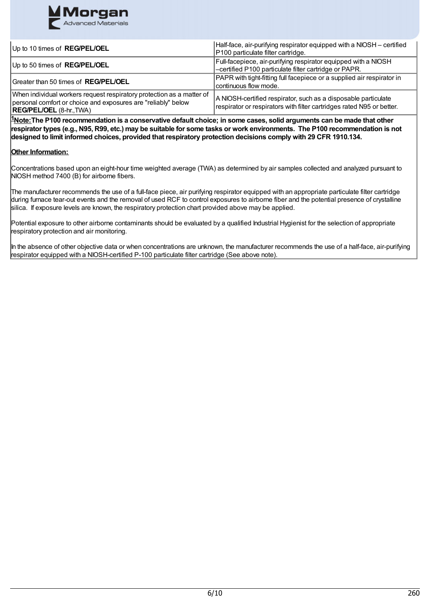

| Up to 10 times of <b>REG/PEL/OEL</b>                                                                                                                                      | Half-face, air-purifying respirator equipped with a NIOSH - certified<br>P100 particulate filter cartridge.                             |
|---------------------------------------------------------------------------------------------------------------------------------------------------------------------------|-----------------------------------------------------------------------------------------------------------------------------------------|
| Up to 50 times of REG/PEL/OEL                                                                                                                                             | Full-facepiece, air-purifying respirator equipped with a NIOSH<br>-certified P100 particulate filter cartridge or PAPR.                 |
| Greater than 50 times of <b>REG/PEL/OEL</b>                                                                                                                               | PAPR with tight-fitting full facepiece or a supplied air respirator in<br>continuous flow mode.                                         |
| When individual workers request respiratory protection as a matter of<br>personal comfort or choice and exposures are "reliably" below<br><b>REG/PEL/OEL</b> (8-hr., TWA) | A NIOSH-certified respirator, such as a disposable particulate<br>respirator or respirators with filter cartridges rated N95 or better. |

 $^{\sharp}$ Note:The P100 recommendation is a conservative default choice; in some cases, solid arguments can be made that other respirator types (e.g., N95, R99, etc.) may be suitable for some tasks or work environments. The P100 recommendation is not **designed to limit informed choices, provided that respiratory protection decisions comply with 29 CFR 1910.134.**

# **Other Information:**

Concentrations based upon an eight-hour time weighted average (TWA) as determined by air samples collected and analyzed pursuant to NIOSH method 7400 (B) for airborne fibers.

The manufacturer recommends the use of a full-face piece, air purifying respirator equipped with an appropriate particulate filter cartridge during furnace tear-out events and the removal of used RCF to control exposures to airborne fiber and the potential presence of crystalline silica. If exposure levels are known, the respiratory protection chart provided above may be applied.

Potential exposure to other airborne contaminants should be evaluated by a qualified Industrial Hygienist for the selection of appropriate respiratory protection and air monitoring.

In the absence of other objective data or when concentrations are unknown, the manufacturer recommends the use of a half-face, air-purifying respirator equipped with a NIOSH-certified P-100 particulate filter cartridge (See above note).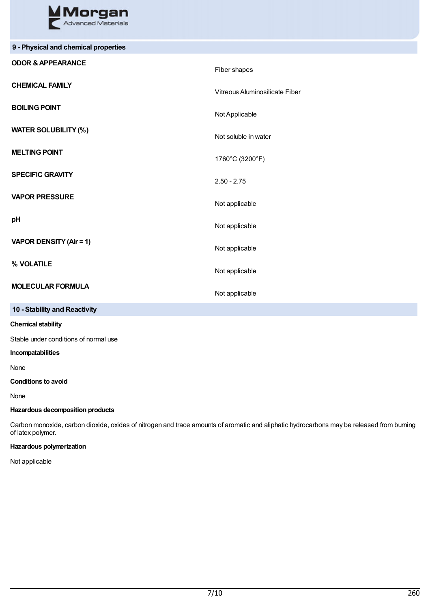

| 9 - Physical and chemical properties |                                |
|--------------------------------------|--------------------------------|
| <b>ODOR &amp; APPEARANCE</b>         | Fiber shapes                   |
| <b>CHEMICAL FAMILY</b>               | Vitreous Aluminosilicate Fiber |
| <b>BOILING POINT</b>                 | Not Applicable                 |
| <b>WATER SOLUBILITY (%)</b>          | Not soluble in water           |
| <b>MELTING POINT</b>                 | 1760°C (3200°F)                |
| <b>SPECIFIC GRAVITY</b>              | $2.50 - 2.75$                  |
| <b>VAPOR PRESSURE</b>                | Not applicable                 |
| pH                                   | Not applicable                 |
| VAPOR DENSITY (Air = 1)              | Not applicable                 |
| % VOLATILE                           | Not applicable                 |
| <b>MOLECULAR FORMULA</b>             | Not applicable                 |
| 10 - Stability and Reactivity        |                                |

# **Chemical stability**

Stable under conditions of normal use

#### **Incompatabilities**

None

**Conditions to avoid**

None

## **Hazardous decomposition products**

Carbon monoxide, carbon dioxide, oxides of nitrogen and trace amounts of aromatic and aliphatic hydrocarbons may be released from burning of latex polymer.

# **Hazardous polymerization**

Not applicable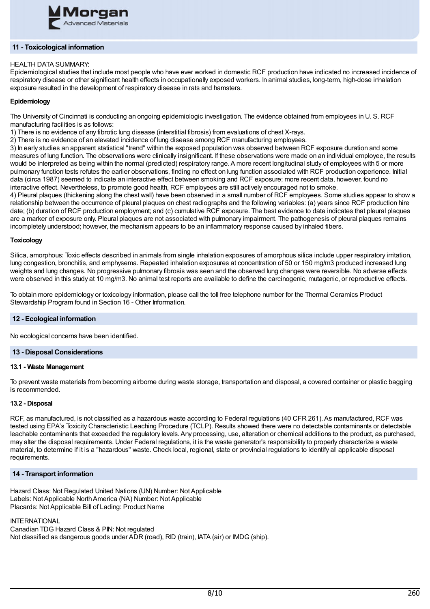

# **11 - Toxicological information**

### HEALTH DATA SUMMARY:

Epidemiological studies that include most people who have ever worked in domestic RCF production have indicated no increased incidence of respiratory disease or other significant health effects in occupationally exposed workers. In animal studies, long-term, high-dose inhalation exposure resulted in the development of respiratory disease in rats and hamsters.

### **Epidemiology**

The University of Cincinnati is conducting an ongoing epidemiologic investigation. The evidence obtained from employees in U. S. RCF manufacturing facilities is as follows:

1) There is no evidence of any fibrotic lung disease (interstitial fibrosis) from evaluations of chest X-rays.

2) There is no evidence of an elevated incidence of lung disease among RCF manufacturing employees.

3) In early studies an apparent statistical "trend" within the exposed population was observed between RCF exposure duration and some measures of lung function. The observations were clinically insignificant. If these observations were made on an individual employee, the results would be interpreted as being within the normal (predicted) respiratory range.A more recent longitudinal study of employees with 5 or more pulmonary function tests refutes the earlier observations, finding no effect on lung function associated with RCF production experience. Initial data (circa 1987) seemed to indicate an interactive effect between smoking and RCF exposure; more recent data, however, found no interactive effect. Nevertheless, to promote good health, RCF employees are still actively encouraged not to smoke.

4) Pleural plaques (thickening along the chest wall) have been observed in a small number of RCF employees. Some studies appear to show a relationship between the occurrence of pleural plaques on chest radiographs and the following variables: (a) years since RCF production hire date; (b) duration of RCF production employment; and (c) cumulative RCF exposure. The best evidence to date indicates that pleural plaques are a marker of exposure only. Pleural plaques are not associated with pulmonary impairment. The pathogenesis of pleural plaques remains incompletely understood; however, the mechanism appears to be an inflammatory response caused by inhaled fibers.

#### **Toxicology**

Silica, amorphous: Toxic effects described in animals from single inhalation exposures of amorphous silica include upper respiratory irritation, lung congestion, bronchitis, and emphysema. Repeated inhalation exposures at concentration of 50 or 150 mg/m3 produced increased lung weights and lung changes. No progressive pulmonary fibrosis was seen and the observed lung changes were reversible. No adverse effects were observed in this study at 10 mg/m3. No animal test reports are available to define the carcinogenic, mutagenic, or reproductive effects.

To obtain more epidemiology or toxicology information, please call the toll free telephone number for the Thermal Ceramics Product Stewardship Program found in Section 16 - Other Information.

# **12 - Ecological information**

No ecological concerns have been identified.

#### **13 - Disposal Considerations**

#### **13.1 - Waste Management**

To prevent waste materials from becoming airborne during waste storage, transportation and disposal, a covered container or plastic bagging is recommended.

#### **13.2 - Disposal**

RCF, as manufactured, is not classified as a hazardous waste according to Federal regulations (40 CFR 261). As manufactured, RCF was tested using EPA's Toxicity Characteristic Leaching Procedure (TCLP). Results showed there were no detectable contaminants or detectable leachable contaminants that exceeded the regulatory levels.Any processing, use, alteration or chemical additions to the product, as purchased, may alter the disposal requirements. Under Federal regulations, it is the waste generator's responsibility to properly characterize a waste material, to determine if it is a "hazardous" waste. Check local, regional, state or provincial regulations to identify all applicable disposal requirements.

#### **14 - Transport information**

Hazard Class: Not Regulated United Nations (UN) Number: Not Applicable Labels: Not Applicable North America (NA) Number: Not Applicable Placards: NotApplicable Bill of Lading: Product Name

# **INTERNATIONAL**

Canadian TDG Hazard Class & PIN: Not regulated Not classified as dangerous goods under ADR (road), RID (train), IATA (air) or IMDG (ship).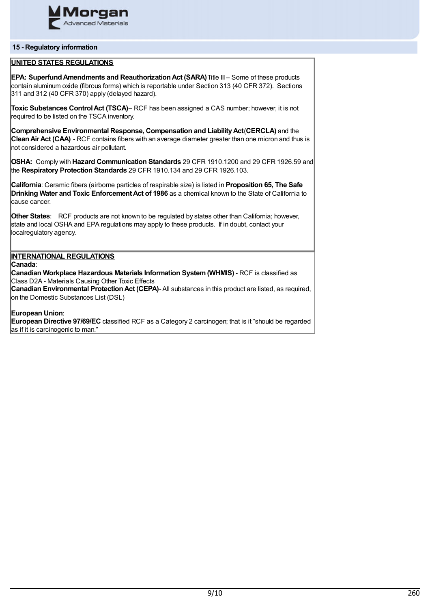

## **15 - Regulatory information**

# **UNITED STATES REGULATIONS**

**EPA: SuperfundAmendments and ReauthorizationAct (SARA)**Title III – Some of these products contain aluminum oxide (fibrous forms) which is reportable under Section 313 (40 CFR 372). Sections 311 and 312 (40 CFR 370) apply (delayed hazard).

**Toxic Substances ControlAct (TSCA)**– RCF has been assigned a CAS number; however, it is not required to be listed on the TSCA inventory.

**Comprehensive Environmental Response, Compensation and LiabilityAct**(**CERCLA)** and the **CleanAirAct (CAA)** - RCF contains fibers with an average diameter greater than one micron and thus is not considered a hazardous air pollutant.

**OSHA:** Comply with **Hazard Communication Standards** 29 CFR 1910.1200 and 29 CFR 1926.59 and the **Respiratory Protection Standards** 29 CFR 1910.134 and 29 CFR 1926.103.

**California**: Ceramic fibers (airborne particles of respirable size) is listed in **Proposition 65, The Safe Drinking Water and Toxic Enforcement Act of 1986** as a chemical known to the State of California to cause cancer.

**Other States**: RCF products are not known to be regulated by states other than California; however, state and local OSHA and EPA regulations may apply to these products. If in doubt, contact your localregulatory agency.

# **INTERNATIONAL REGULATIONS**

**Canada**:

**Canadian Workplace Hazardous Materials Information System(WHMIS)** - RCF is classified as Class D2A - Materials Causing Other Toxic Effects

**Canadian Environmental Protection Act (CEPA)- All substances in this product are listed, as required,** on the Domestic Substances List (DSL)

### **European Union**:

**European Directive 97/69/EC** classified RCF as a Category 2 carcinogen; that is it "should be regarded as if it is carcinogenic to man."